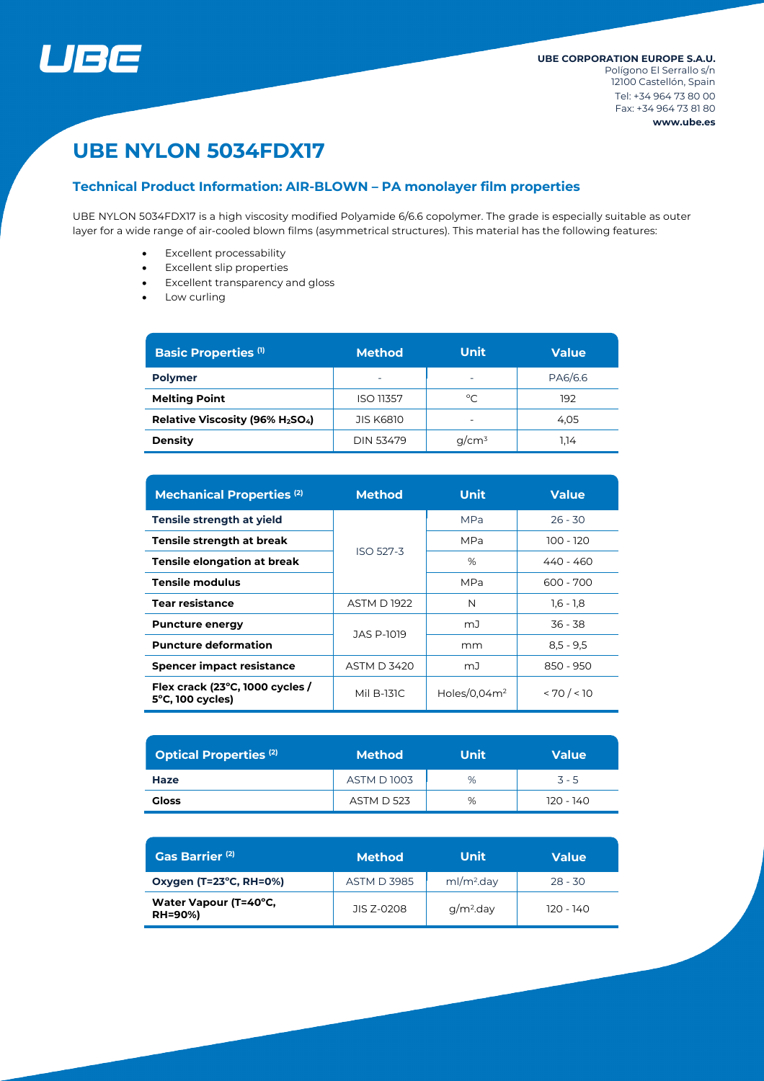

# **UBE NYLON 5034FDX17**

## **Technical Product Information: AIR-BLOWN – PA monolayer film properties**

UBE NYLON 5034FDX17 is a high viscosity modified Polyamide 6/6.6 copolymer. The grade is especially suitable as outer layer for a wide range of air-cooled blown films (asymmetrical structures). This material has the following features:

- Excellent processability
- Excellent slip properties
- Excellent transparency and gloss
- Low curling

| <b>Basic Properties (1)</b>                              | <b>Method</b>            | <b>Unit</b>              | <b>Value</b> |  |
|----------------------------------------------------------|--------------------------|--------------------------|--------------|--|
| <b>Polymer</b>                                           | $\overline{\phantom{0}}$ | $\overline{\phantom{a}}$ | PA6/6.6      |  |
| <b>Melting Point</b>                                     | <b>ISO 11357</b>         | °C                       | 192          |  |
| Relative Viscosity (96% H <sub>2</sub> SO <sub>4</sub> ) | <b>JIS K6810</b>         | $\overline{\phantom{a}}$ | 4.05         |  |
| <b>Density</b>                                           | DIN 53479                | $q/cm^3$                 | 1.14         |  |

| <b>Mechanical Properties (2)</b>                              | <b>Method</b>      | <b>Unit</b>     | <b>Value</b> |  |
|---------------------------------------------------------------|--------------------|-----------------|--------------|--|
| Tensile strength at yield                                     |                    | <b>MPa</b>      | $26 - 30$    |  |
| Tensile strength at break                                     |                    | MPa             | 100 - 120    |  |
| Tensile elongation at break                                   | <b>ISO 527-3</b>   | %               | 440 - 460    |  |
| <b>Tensile modulus</b>                                        |                    | <b>MPa</b>      | 600 - 700    |  |
| <b>Tear resistance</b>                                        | <b>ASTM D1922</b>  | N               | $1,6 - 1,8$  |  |
| <b>Puncture energy</b>                                        | JAS P-1019         | mJ              | 36 - 38      |  |
| <b>Puncture deformation</b>                                   |                    | mm              | $8,5 - 9,5$  |  |
| <b>Spencer impact resistance</b>                              | <b>ASTM D 3420</b> | mJ              | 850 - 950    |  |
| Flex crack (23°C, 1000 cycles /<br>$5^{\circ}$ C, 100 cycles) | Mil B-131C         | Holes/0.04 $m2$ | < 70 / < 10  |  |

| <b>Optical Properties (2)</b> | <b>Method</b>     | <b>Unit</b> | <b>Value</b> |  |
|-------------------------------|-------------------|-------------|--------------|--|
| Haze                          | <b>ASTM D1003</b> | %           | $3 - 5$      |  |
| Gloss                         | <b>ASTM D 523</b> | %           | 120 - 140    |  |

| Gas Barrier <sup>(2)</sup>              | <b>Method</b>      | Unit                   | <b>Value</b> |
|-----------------------------------------|--------------------|------------------------|--------------|
| Oxygen (T=23°C, RH=0%)                  | <b>ASTM D 3985</b> | ml/m <sup>2</sup> .day | $28 - 30$    |
| Water Vapour (T=40°C,<br><b>RH=90%)</b> | JIS Z-0208         | $q/m2$ .day            | $120 - 140$  |